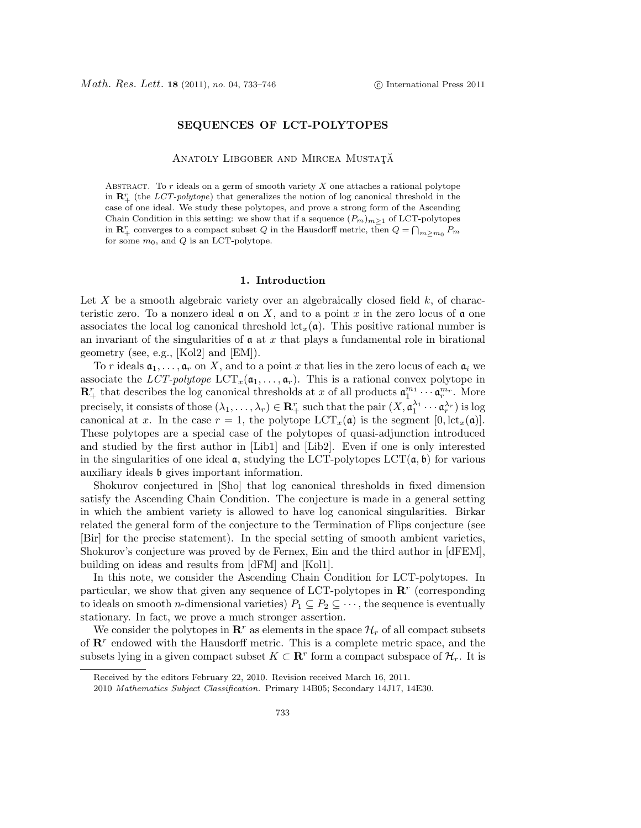# SEQUENCES OF LCT-POLYTOPES

### ANATOLY LIBGOBER AND MIRCEA MUSTATĂ

Abstract. To *r* ideals on a germ of smooth variety *X* one attaches a rational polytope in  $\mathbf{R}_{+}^{r}$  (the *LCT-polytope*) that generalizes the notion of log canonical threshold in the case of one ideal. We study these polytopes, and prove a strong form of the Ascending Chain Condition in this setting: we show that if a sequence  $(P_m)_{m\geq 1}$  of LCT-polytopes in  $\mathbf{R}_+^r$  converges to a compact subset *Q* in the Hausdorff metric, then  $Q = \bigcap_{m \geq m_0} P_m$ for some *m*0, and *Q* is an LCT-polytope.

#### 1. Introduction

Let *X* be a smooth algebraic variety over an algebraically closed field *k*, of characteristic zero. To a nonzero ideal  $\mathfrak a$  on X, and to a point x in the zero locus of  $\mathfrak a$  one associates the local log canonical threshold  $\text{lc}_x(\mathfrak{a})$ . This positive rational number is an invariant of the singularities of a at *x* that plays a fundamental role in birational geometry (see, e.g., [Kol2] and [EM]).

To r ideals  $a_1, \ldots, a_r$  on X, and to a point x that lies in the zero locus of each  $a_i$  we associate the *LCT-polytope*  $LCT_x(\mathfrak{a}_1,\ldots,\mathfrak{a}_r)$ . This is a rational convex polytope in  $\mathbf{R}_+^r$  that describes the log canonical thresholds at *x* of all products  $\mathfrak{a}_1^{m_1} \cdots \mathfrak{a}_r^{m_r}$ . More precisely, it consists of those  $(\lambda_1, \ldots, \lambda_r) \in \mathbb{R}_+^r$  such that the pair  $(X, \mathfrak{a}_1^{\lambda_1} \cdots \mathfrak{a}_r^{\lambda_r})$  is log canonical at *x*. In the case  $r = 1$ , the polytope  $LCT_x(\mathfrak{a})$  is the segment  $[0, \text{lct}_x(\mathfrak{a})]$ . These polytopes are a special case of the polytopes of quasi-adjunction introduced and studied by the first author in [Lib1] and [Lib2]. Even if one is only interested in the singularities of one ideal  $\alpha$ , studying the LCT-polytopes  $LCT(\alpha, \mathfrak{b})$  for various auxiliary ideals b gives important information.

Shokurov conjectured in [Sho] that log canonical thresholds in fixed dimension satisfy the Ascending Chain Condition. The conjecture is made in a general setting in which the ambient variety is allowed to have log canonical singularities. Birkar related the general form of the conjecture to the Termination of Flips conjecture (see [Bir] for the precise statement). In the special setting of smooth ambient varieties, Shokurov's conjecture was proved by de Fernex, Ein and the third author in [dFEM], building on ideas and results from [dFM] and [Kol1].

In this note, we consider the Ascending Chain Condition for LCT-polytopes. In particular, we show that given any sequence of LCT-polytopes in R*<sup>r</sup>* (corresponding to ideals on smooth *n*-dimensional varieties)  $P_1 \subseteq P_2 \subseteq \cdots$ , the sequence is eventually stationary. In fact, we prove a much stronger assertion.

We consider the polytopes in  $\mathbb{R}^r$  as elements in the space  $\mathcal{H}_r$  of all compact subsets of R*<sup>r</sup>* endowed with the Hausdorff metric. This is a complete metric space, and the subsets lying in a given compact subset  $K \subset \mathbb{R}^r$  form a compact subspace of  $\mathcal{H}_r$ . It is

Received by the editors February 22, 2010. Revision received March 16, 2011.

<sup>2010</sup> *Mathematics Subject Classification.* Primary 14B05; Secondary 14J17, 14E30.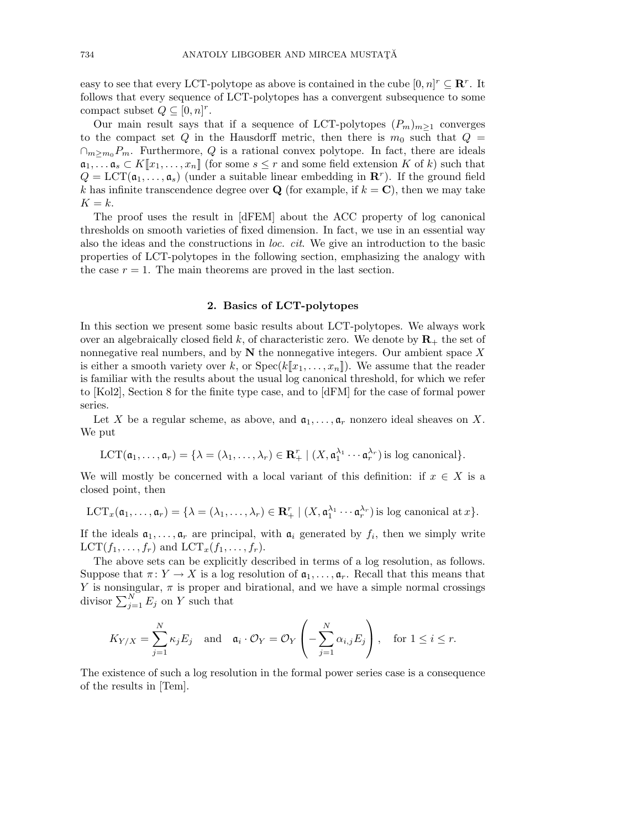easy to see that every LCT-polytope as above is contained in the cube  $[0, n]^r \subseteq \mathbb{R}^r$ . It follows that every sequence of LCT-polytopes has a convergent subsequence to some compact subset  $Q \subseteq [0, n]^r$ .

Our main result says that if a sequence of LCT-polytopes  $(P_m)_{m\geq 1}$  converges to the compact set  $Q$  in the Hausdorff metric, then there is  $m_0$  such that  $Q =$  $\cap_{m \geq m_0} P_m$ . Furthermore, Q is a rational convex polytope. In fact, there are ideals  $a_1, \ldots, a_s \subset K[[x_1, \ldots, x_n]]$  (for some  $s \leq r$  and some field extension K of k) such that  $Q = \text{LCT}(\mathfrak{a}_1, \ldots, \mathfrak{a}_s)$  (under a suitable linear embedding in  $\mathbb{R}^r$ ). If the ground field *k* has infinite transcendence degree over **Q** (for example, if  $k = C$ ), then we may take  $K = k$ .

The proof uses the result in [dFEM] about the ACC property of log canonical thresholds on smooth varieties of fixed dimension. In fact, we use in an essential way also the ideas and the constructions in *loc. cit*. We give an introduction to the basic properties of LCT-polytopes in the following section, emphasizing the analogy with the case  $r = 1$ . The main theorems are proved in the last section.

## 2. Basics of LCT-polytopes

In this section we present some basic results about LCT-polytopes. We always work over an algebraically closed field  $k$ , of characteristic zero. We denote by  $\mathbf{R}_{+}$  the set of nonnegative real numbers, and by N the nonnegative integers. Our ambient space *X* is either a smooth variety over *k*, or  $Spec(k[[x_1,\ldots,x_n]])$ . We assume that the reader is familiar with the results about the usual log canonical threshold, for which we refer to [Kol2], Section 8 for the finite type case, and to [dFM] for the case of formal power series.

Let *X* be a regular scheme, as above, and  $a_1, \ldots, a_r$  nonzero ideal sheaves on *X*. We put

$$
LCT(\mathfrak{a}_1,\ldots,\mathfrak{a}_r)=\{\lambda=(\lambda_1,\ldots,\lambda_r)\in\mathbf{R}_+^r\mid (X,\mathfrak{a}_1^{\lambda_1}\cdots\mathfrak{a}_r^{\lambda_r})\,\mathrm{is\,log\,canonical}\}.
$$

We will mostly be concerned with a local variant of this definition: if  $x \in X$  is a closed point, then

$$
\text{LCT}_x(\mathfrak{a}_1,\ldots,\mathfrak{a}_r)=\{\lambda=(\lambda_1,\ldots,\lambda_r)\in\mathbf{R}_+^r\mid (X,\mathfrak{a}_1^{\lambda_1}\cdots\mathfrak{a}_r^{\lambda_r})\,\text{is log canonical at }x\}.
$$

If the ideals  $a_1, \ldots, a_r$  are principal, with  $a_i$  generated by  $f_i$ , then we simply write  $\text{LCT}(f_1,\ldots,f_r)$  and  $\text{LCT}_x(f_1,\ldots,f_r)$ .

The above sets can be explicitly described in terms of a log resolution, as follows. Suppose that  $\pi: Y \to X$  is a log resolution of  $\mathfrak{a}_1, \ldots, \mathfrak{a}_r$ . Recall that this means that *Y* is nonsingular,  $\pi$  is proper and birational, and we have a simple normal crossings divisor  $\sum_{j=1}^{N} E_j$  on *Y* such that

$$
K_{Y/X} = \sum_{j=1}^N \kappa_j E_j \quad \text{and} \quad \mathfrak{a}_i \cdot \mathcal{O}_Y = \mathcal{O}_Y \left( -\sum_{j=1}^N \alpha_{i,j} E_j \right), \quad \text{for } 1 \le i \le r.
$$

The existence of such a log resolution in the formal power series case is a consequence of the results in [Tem].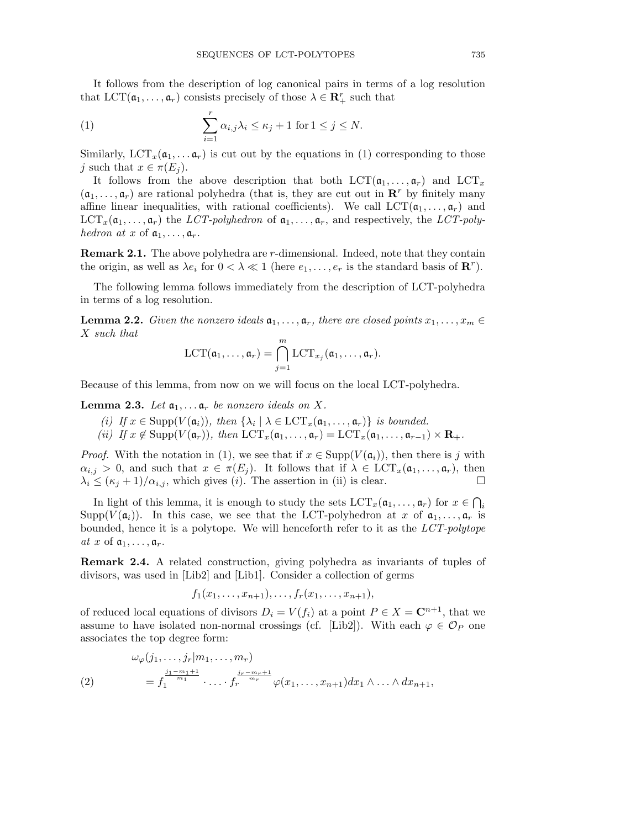It follows from the description of log canonical pairs in terms of a log resolution that  $LCT(\mathfrak{a}_1, ..., \mathfrak{a}_r)$  consists precisely of those  $\lambda \in \mathbb{R}_+^r$  such that

(1) 
$$
\sum_{i=1}^r \alpha_{i,j} \lambda_i \leq \kappa_j + 1 \text{ for } 1 \leq j \leq N.
$$

Similarly,  $LCT_x(\mathfrak{a}_1,\ldots,\mathfrak{a}_r)$  is cut out by the equations in (1) corresponding to those *j* such that  $x \in \pi(E_i)$ .

It follows from the above description that both  $LCT(\mathfrak{a}_1,\ldots,\mathfrak{a}_r)$  and  $LCT_x$  $(\mathfrak{a}_1,\ldots,\mathfrak{a}_r)$  are rational polyhedra (that is, they are cut out in  $\mathbb{R}^r$  by finitely many affine linear inequalities, with rational coefficients). We call  $LCT(\mathfrak{a}_1,\ldots,\mathfrak{a}_r)$  and  $LCT_x(\mathfrak{a}_1,\ldots,\mathfrak{a}_r)$  the *LCT-polyhedron* of  $\mathfrak{a}_1,\ldots,\mathfrak{a}_r$ , and respectively, the *LCT-polyhedron* at *x* of  $a_1, \ldots, a_r$ .

Remark 2.1. The above polyhedra are *r*-dimensional. Indeed, note that they contain the origin, as well as  $\lambda e_i$  for  $0 < \lambda \ll 1$  (here  $e_1, \ldots, e_r$  is the standard basis of  $\mathbb{R}^r$ ).

The following lemma follows immediately from the description of LCT-polyhedra in terms of a log resolution.

**Lemma 2.2.** *Given the nonzero ideals*  $a_1, \ldots, a_r$ *, there are closed points*  $x_1, \ldots, x_m \in$ *X such that*

$$
LCT(\mathfrak{a}_1,\ldots,\mathfrak{a}_r)=\bigcap_{j=1}^m LCT_{x_j}(\mathfrak{a}_1,\ldots,\mathfrak{a}_r).
$$

Because of this lemma, from now on we will focus on the local LCT-polyhedra.

**Lemma 2.3.** Let  $a_1, \ldots, a_r$  be nonzero ideals on X.

*(i)* If  $x \in \text{Supp}(V(\mathfrak{a}_i))$ , then  $\{\lambda_i \mid \lambda \in \text{LCT}_x(\mathfrak{a}_1, \ldots, \mathfrak{a}_r)\}\$ is bounded. *(ii) If*  $x \notin \text{Supp}(V(\mathfrak{a}_r))$ *, then*  $\text{LCT}_x(\mathfrak{a}_1, \ldots, \mathfrak{a}_r) = \text{LCT}_x(\mathfrak{a}_1, \ldots, \mathfrak{a}_{r-1}) \times \mathbf{R}_+$ .

*Proof.* With the notation in (1), we see that if  $x \in \text{Supp}(V(\mathfrak{a}_i))$ , then there is *j* with  $\alpha_{i,j} > 0$ , and such that  $x \in \pi(E_j)$ . It follows that if  $\lambda \in \text{LCT}_x(\mathfrak{a}_1, \ldots, \mathfrak{a}_r)$ , then  $\lambda_i < (\kappa_i + 1)/\alpha_{i,i}$ , which gives *(i)*. The assertion in *(ii)* is clear.  $\lambda_i \leq (\kappa_j + 1)/\alpha_{i,j}$ , which gives (*i*). The assertion in (ii) is clear.

In light of this lemma, it is enough to study the sets  $LCT_x(\mathfrak{a}_1,\ldots,\mathfrak{a}_r)$  for  $x \in \bigcap_i$ Supp( $V(\mathfrak{a}_i)$ ). In this case, we see that the LCT-polyhedron at x of  $\mathfrak{a}_1,\ldots,\mathfrak{a}_r$  is bounded, hence it is a polytope. We will henceforth refer to it as the *LCT-polytope*  $at x \text{ of } \mathfrak{a}_1, \ldots, \mathfrak{a}_r.$ 

Remark 2.4. A related construction, giving polyhedra as invariants of tuples of divisors, was used in [Lib2] and [Lib1]. Consider a collection of germs

$$
f_1(x_1,\ldots,x_{n+1}),\ldots,f_r(x_1,\ldots,x_{n+1}),
$$

of reduced local equations of divisors  $D_i = V(f_i)$  at a point  $P \in X = \mathbb{C}^{n+1}$ , that we assume to have isolated non-normal crossings (cf. [Lib2]). With each  $\varphi \in \mathcal{O}_P$  one associates the top degree form:

(2) 
$$
\omega_{\varphi}(j_1, \ldots, j_r | m_1, \ldots, m_r) = f_1^{\frac{j_1 - m_1 + 1}{m_1}} \cdot \ldots \cdot f_r^{\frac{j_r - m_r + 1}{m_r}} \varphi(x_1, \ldots, x_{n+1}) dx_1 \wedge \ldots \wedge dx_{n+1},
$$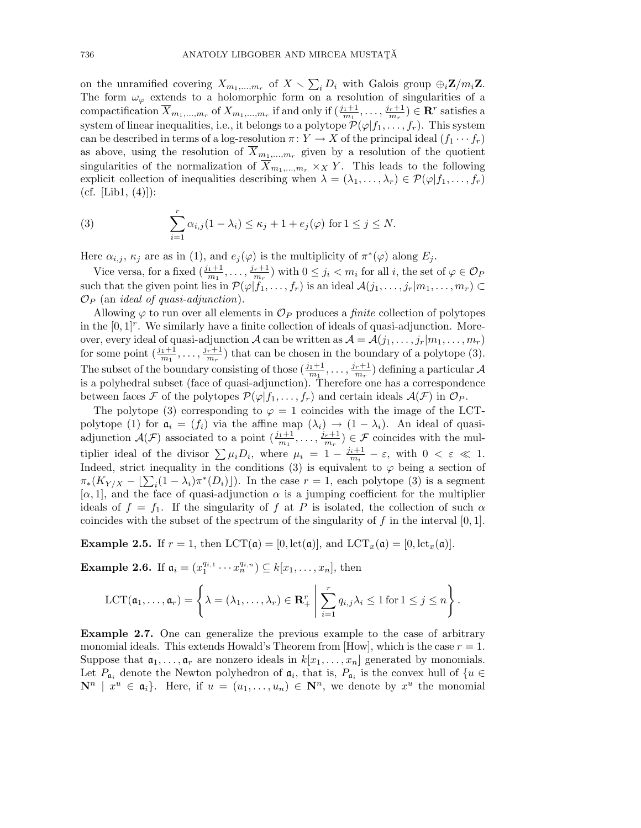on the unramified covering  $X_{m_1,...,m_r}$  of  $X \setminus \sum_i D_i$  with Galois group  $\bigoplus_i \mathbf{Z}/m_i \mathbf{Z}$ . The form  $\omega_{\varphi}$  extends to a holomorphic form on a resolution of singularities of a compactification  $\overline{X}_{m_1,\dots,m_r}$  of  $X_{m_1,\dots,m_r}$  if and only if  $(\frac{j_1+1}{m_1},\dots,\frac{j_r+1}{m_r}) \in \mathbb{R}^r$  satisfies a system of linear inequalities, i.e., it belongs to a polytope  $\mathcal{P}(\varphi|f_1,\ldots,f_r)$ . This system can be described in terms of a log-resolution  $\pi: Y \to X$  of the principal ideal  $(f_1 \cdots f_r)$ as above, using the resolution of  $\overline{X}_{m_1,\dots,m_r}$  given by a resolution of the quotient singularities of the normalization of  $\overline{X}_{m_1,...,m_r} \times_X Y$ . This leads to the following explicit collection of inequalities describing when  $\lambda = (\lambda_1, \ldots, \lambda_r) \in \mathcal{P}(\varphi | f_1, \ldots, f_r)$ (cf.  $|Lib1, (4)|$ ):

(3) 
$$
\sum_{i=1}^r \alpha_{i,j} (1 - \lambda_i) \leq \kappa_j + 1 + e_j(\varphi) \text{ for } 1 \leq j \leq N.
$$

Here  $\alpha_{i,j}$ ,  $\kappa_j$  are as in (1), and  $e_j(\varphi)$  is the multiplicity of  $\pi^*(\varphi)$  along  $E_j$ .

Vice versa, for a fixed  $(\frac{j_1+1}{m_1}, \ldots, \frac{j_r+1}{m_r})$  with  $0 \leq j_i < m_i$  for all *i*, the set of  $\varphi \in \mathcal{O}_P$ such that the given point lies in  $\mathcal{P}(\varphi|f_1,\ldots,f_r)$  is an ideal  $\mathcal{A}(j_1,\ldots,j_r|m_1,\ldots,m_r) \subset$ *O<sup>P</sup>* (an *ideal of quasi-adjunction*).

Allowing  $\varphi$  to run over all elements in  $\mathcal{O}_P$  produces a *finite* collection of polytopes in the  $[0,1]^r$ . We similarly have a finite collection of ideals of quasi-adjunction. Moreover, every ideal of quasi-adjunction *A* can be written as  $A = A(j_1, \ldots, j_r | m_1, \ldots, m_r)$ for some point  $(\frac{j_1+1}{m_1}, \ldots, \frac{j_r+1}{m_r})$  that can be chosen in the boundary of a polytope (3). The subset of the boundary consisting of those  $(\frac{j_1+1}{m_1}, \ldots, \frac{j_r+1}{m_r})$  defining a particular  $A$ is a polyhedral subset (face of quasi-adjunction). Therefore one has a correspondence between faces *F* of the polytopes  $\mathcal{P}(\varphi|f_1,\ldots,f_r)$  and certain ideals  $\mathcal{A}(\mathcal{F})$  in  $\mathcal{O}_P$ .

The polytope (3) corresponding to  $\varphi = 1$  coincides with the image of the LCTpolytope (1) for  $a_i = (f_i)$  via the affine map  $(\lambda_i) \to (1 - \lambda_i)$ . An ideal of quasiadjunction  $\mathcal{A}(\mathcal{F})$  associated to a point  $(\frac{j_1+1}{m_1}, \ldots, \frac{j_r+1}{m_r}) \in \mathcal{F}$  coincides with the multiplier ideal of the divisor  $\sum \mu_i D_i$ , where  $\mu_i = 1 - \frac{j_i+1}{m_i} - \varepsilon$ , with  $0 < \varepsilon \ll 1$ . Indeed, strict inequality in the conditions (3) is equivalent to  $\varphi$  being a section of  $\pi_*(K_{Y/X} - \lfloor \sum_i (1 - \lambda_i) \pi^*(D_i) \rfloor)$ . In the case  $r = 1$ , each polytope (3) is a segment  $[\alpha, 1]$ , and the face of quasi-adjunction  $\alpha$  is a jumping coefficient for the multiplier ideals of  $f = f_1$ . If the singularity of f at P is isolated, the collection of such  $\alpha$ coincides with the subset of the spectrum of the singularity of *f* in the interval [0*,* 1].

**Example 2.5.** If  $r = 1$ , then LCT( $\mathfrak{a}$ ) = [0, lct( $\mathfrak{a}$ )], and LCT<sub>x</sub>( $\mathfrak{a}$ ) = [0, lct<sub>x</sub>( $\mathfrak{a}$ )].

**Example 2.6.** If  $a_i = (x_1^{q_{i,1}} \cdots x_n^{q_{i,n}}) \subseteq k[x_1, \ldots, x_n]$ , then

$$
\text{LCT}(\mathfrak{a}_1,\ldots,\mathfrak{a}_r) = \left\{\lambda = (\lambda_1,\ldots,\lambda_r) \in \mathbf{R}_+^r \mid \sum_{i=1}^r q_{i,j}\lambda_i \leq 1 \text{ for } 1 \leq j \leq n \right\}.
$$

Example 2.7. One can generalize the previous example to the case of arbitrary monomial ideals. This extends Howald's Theorem from  $[How]$ , which is the case  $r = 1$ . Suppose that  $a_1, \ldots, a_r$  are nonzero ideals in  $k[x_1, \ldots, x_n]$  generated by monomials. Let  $P_{\mathfrak{a}_i}$  denote the Newton polyhedron of  $\mathfrak{a}_i$ , that is,  $P_{\mathfrak{a}_i}$  is the convex hull of  $\{u \in$  $\mathbf{N}^n \mid x^u \in \mathfrak{a}_i$ . Here, if  $u = (u_1, \ldots, u_n) \in \mathbf{N}^n$ , we denote by  $x^u$  the monomial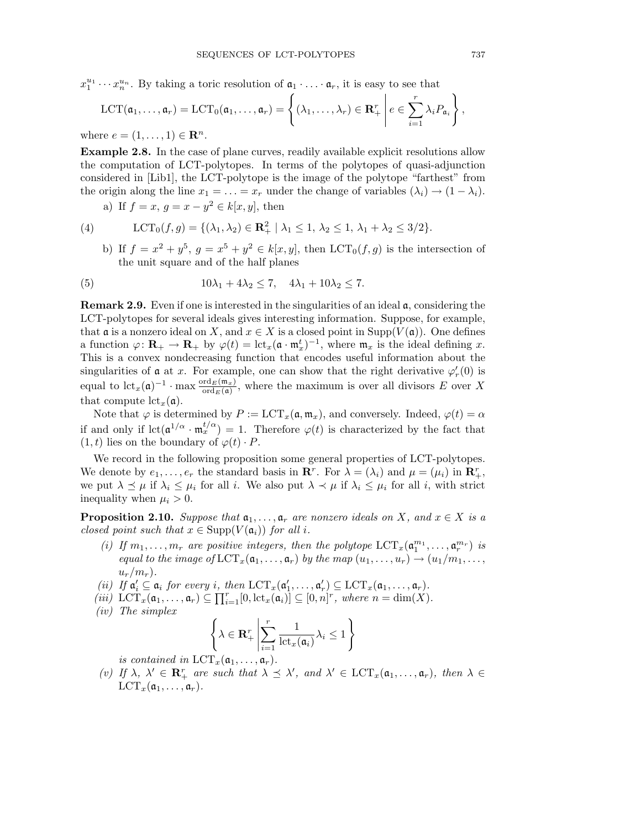$x_1^{u_1} \cdots x_n^{u_n}$ . By taking a toric resolution of  $a_1 \cdots a_r$ , it is easy to see that

$$
\text{LCT}(\mathfrak{a}_1, \dots, \mathfrak{a}_r) = \text{LCT}_0(\mathfrak{a}_1, \dots, \mathfrak{a}_r) = \left\{ (\lambda_1, \dots, \lambda_r) \in \mathbf{R}_+^r \middle| e \in \sum_{i=1}^r \lambda_i P_{\mathfrak{a}_i} \right\},
$$

where  $e = (1, ..., 1) \in \mathbb{R}^n$ .

Example 2.8. In the case of plane curves, readily available explicit resolutions allow the computation of LCT-polytopes. In terms of the polytopes of quasi-adjunction considered in [Lib1], the LCT-polytope is the image of the polytope "farthest" from the origin along the line  $x_1 = \ldots = x_r$  under the change of variables  $(\lambda_i) \rightarrow (1 - \lambda_i)$ .

a) If 
$$
f = x, g = x - y^2 \in k[x, y]
$$
, then

(4) 
$$
LCT_0(f,g) = \{(\lambda_1, \lambda_2) \in \mathbf{R}_+^2 \mid \lambda_1 \le 1, \lambda_2 \le 1, \lambda_1 + \lambda_2 \le 3/2\}.
$$

b) If  $f = x^2 + y^5$ ,  $g = x^5 + y^2 \in k[x, y]$ , then LCT<sub>0</sub>( $f, g$ ) is the intersection of the unit square and of the half planes

(5) 
$$
10\lambda_1 + 4\lambda_2 \le 7, \quad 4\lambda_1 + 10\lambda_2 \le 7.
$$

**Remark 2.9.** Even if one is interested in the singularities of an ideal  $\alpha$ , considering the LCT-polytopes for several ideals gives interesting information. Suppose, for example, that **a** is a nonzero ideal on *X*, and  $x \in X$  is a closed point in Supp( $V(\mathfrak{a})$ ). One defines a function  $\varphi: \mathbf{R}_{+} \to \mathbf{R}_{+}$  by  $\varphi(t) = \text{lct}_{x}(\mathfrak{a} \cdot \mathfrak{m}_{x}^{t})^{-1}$ , where  $\mathfrak{m}_{x}$  is the ideal defining *x*. This is a convex nondecreasing function that encodes useful information about the singularities of  $\mathfrak a$  at *x*. For example, one can show that the right derivative  $\varphi'_r(0)$  is equal to  $lct_x(\mathfrak{a})^{-1} \cdot \max \frac{\text{ord}_E(\mathfrak{m}_x)}{\text{ord}_E(\mathfrak{a})}$ , where the maximum is over all divisors *E* over *X* that compute  $\text{lct}_x(\mathfrak{a})$ .

Note that  $\varphi$  is determined by  $P := \text{LCT}_x(\mathfrak{a}, \mathfrak{m}_x)$ , and conversely. Indeed,  $\varphi(t) = \alpha$ if and only if  $\text{let}(\mathfrak{a}^{1/\alpha} \cdot \mathfrak{m}_x^{t/\alpha}) = 1$ . Therefore  $\varphi(t)$  is characterized by the fact that  $(1, t)$  lies on the boundary of  $\varphi(t) \cdot P$ .

We record in the following proposition some general properties of LCT-polytopes. We denote by  $e_1, \ldots, e_r$  the standard basis in  $\mathbb{R}^r$ . For  $\lambda = (\lambda_i)$  and  $\mu = (\mu_i)$  in  $\mathbb{R}^r_+$ , we put  $\lambda \preceq \mu$  if  $\lambda_i \leq \mu_i$  for all *i*. We also put  $\lambda \prec \mu$  if  $\lambda_i \leq \mu_i$  for all *i*, with strict inequality when  $\mu_i > 0$ .

**Proposition 2.10.** *Suppose that*  $a_1, \ldots, a_r$  *are nonzero ideals on X, and*  $x \in X$  *is a closed point such that*  $x \in \text{Supp}(V(\mathfrak{a}_i))$  *for all i.* 

- *(i)* If  $m_1, \ldots, m_r$  are positive integers, then the polytope  $LCT_x(\mathfrak{a}_1^{m_1}, \ldots, \mathfrak{a}_r^{m_r})$  is *equal to the image of*  $\text{LCT}_x(\mathfrak{a}_1, \ldots, \mathfrak{a}_r)$  *by the map*  $(u_1, \ldots, u_r) \rightarrow (u_1/m_1, \ldots,$  $u_r/m_r$ ).
- *(ii)* If  $a'_i \subseteq a_i$  *for every i*, *then*  $\text{LCT}_x(a'_1, \ldots, a'_r) \subseteq \text{LCT}_x(a_1, \ldots, a_r)$ .
- $(iii)$  LCT<sub>*x*</sub>( $\mathfrak{a}_1, \ldots, \mathfrak{a}_r$ )  $\subseteq \prod_{i=1}^r [0, \mathrm{lct}_x(\mathfrak{a}_i)] \subseteq [0, n]^r$ , where  $n = \dim(X)$ .
- *(iv) The simplex*

$$
\left\{\lambda \in \mathbf{R}_+^r \middle| \sum_{i=1}^r \frac{1}{\mathrm{lct}_x(\mathfrak{a}_i)} \lambda_i \le 1 \right\}
$$

*is contained in*  $LCT_x(\mathfrak{a}_1, \ldots, \mathfrak{a}_r)$ .

(*v*) If  $\lambda$ ,  $\lambda' \in \mathbb{R}_+^r$  are such that  $\lambda \leq \lambda'$ , and  $\lambda' \in \text{LCT}_x(\mathfrak{a}_1, \ldots, \mathfrak{a}_r)$ , then  $\lambda \in$  $\text{LCT}_x(\mathfrak{a}_1,\ldots,\mathfrak{a}_r).$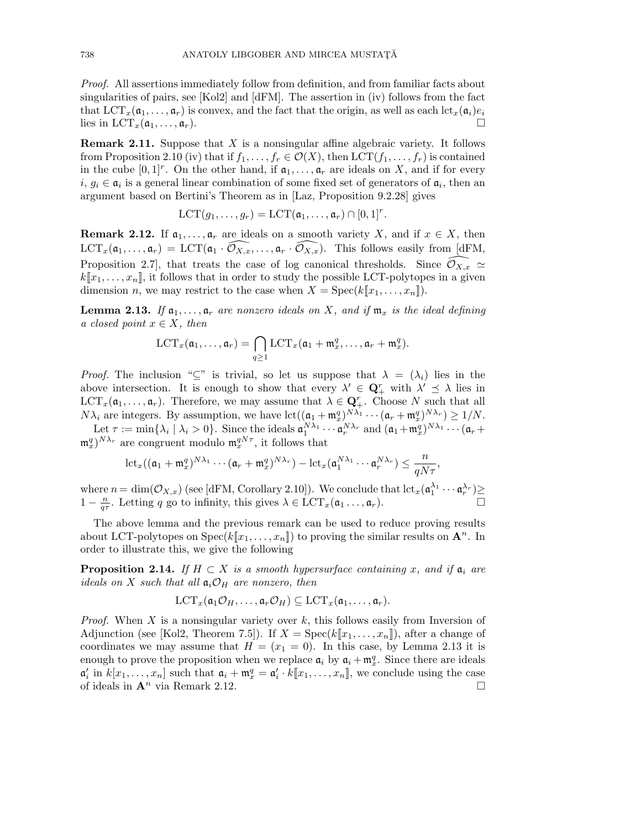*Proof.* All assertions immediately follow from definition, and from familiar facts about singularities of pairs, see [Kol2] and [dFM]. The assertion in (iv) follows from the fact that  $LCT_x(\mathfrak{a}_1,\ldots,\mathfrak{a}_r)$  is convex, and the fact that the origin, as well as each  $\text{lct}_x(\mathfrak{a}_i)e_i$ lies in  $\text{LCT}_x(\mathfrak{a}_1,\ldots,\mathfrak{a}_r).$ 

Remark 2.11. Suppose that *X* is a nonsingular affine algebraic variety. It follows from Proposition 2.10 (iv) that if  $f_1, \ldots, f_r \in \mathcal{O}(X)$ , then  $\mathrm{LCT}(f_1, \ldots, f_r)$  is contained in the cube  $[0,1]^r$ . On the other hand, if  $\mathfrak{a}_1,\ldots,\mathfrak{a}_r$  are ideals on *X*, and if for every  $i, g_i \in \mathfrak{a}_i$  is a general linear combination of some fixed set of generators of  $\mathfrak{a}_i$ , then an argument based on Bertini's Theorem as in [Laz, Proposition 9.2.28] gives

$$
LCT(g_1,\ldots,g_r)=LCT(\mathfrak{a}_1,\ldots,\mathfrak{a}_r)\cap[0,1]^r.
$$

**Remark 2.12.** If  $a_1, \ldots, a_r$  are ideals on a smooth variety *X*, and if  $x \in X$ , then  $\text{LCT}_x(\mathfrak{a}_1,\ldots,\mathfrak{a}_r) = \text{LCT}(\mathfrak{a}_1 \cdot \widehat{\mathcal{O}_{X,x}},\ldots,\mathfrak{a}_r \cdot \widehat{\mathcal{O}_{X,x}}).$  This follows easily from [dFM, Proposition 2.7], that treats the case of log canonical thresholds. Since  $\widehat{\mathcal{O}_{X,x}}$  ≃  $k[[x_1,\ldots,x_n]]$ , it follows that in order to study the possible LCT-polytopes in a given dimension *n*, we may restrict to the case when  $X = \text{Spec}(k[[x_1, \ldots, x_n]])$ .

**Lemma 2.13.** If  $a_1, \ldots, a_r$  are nonzero ideals on X, and if  $m_x$  is the ideal defining *a closed point*  $x \in X$ *, then* 

$$
\text{LCT}_x(\mathfrak{a}_1,\ldots,\mathfrak{a}_r)=\bigcap_{q\geq 1}\text{LCT}_x(\mathfrak{a}_1+\mathfrak{m}_x^q,\ldots,\mathfrak{a}_r+\mathfrak{m}_x^q).
$$

*Proof.* The inclusion " $\subseteq$ " is trivial, so let us suppose that  $\lambda = (\lambda_i)$  lies in the above intersection. It is enough to show that every  $\lambda' \in \mathbf{Q}_+^r$  with  $\lambda' \preceq \lambda$  lies in  $\text{LCT}_x(\mathfrak{a}_1,\ldots,\mathfrak{a}_r)$ . Therefore, we may assume that  $\lambda \in \mathbb{Q}_+^r$ . Choose *N* such that all *N* $\lambda_i$  are integers. By assumption, we have lct $((a_1 + m_x^q)^{N\lambda_1} \cdots (a_r + m_x^q)^{N\lambda_r}) \ge 1/N$ .

Let  $\tau := \min\{\lambda_i \mid \lambda_i > 0\}$ . Since the ideals  $\mathfrak{a}_1^{N\lambda_1} \cdots \mathfrak{a}_r^{N\lambda_r}$  and  $(\mathfrak{a}_1 + \mathfrak{m}_x^q)^{N\lambda_1} \cdots (\mathfrak{a}_r + \mathfrak{a}_r^{N\lambda_r})^{N\lambda_r}$  $(\mathfrak{m}_x^q)^{N\lambda_r}$  are congruent modulo  $\mathfrak{m}_x^{qN\tau}$ , it follows that

$$
\mathrm{lct}_x((\mathfrak{a}_1+\mathfrak{m}_x^q)^{N\lambda_1}\cdots(\mathfrak{a}_r+\mathfrak{m}_x^q)^{N\lambda_r})-\mathrm{lct}_x(\mathfrak{a}_1^{N\lambda_1}\cdots\mathfrak{a}_r^{N\lambda_r})\leq \frac{n}{qN\tau},
$$

where  $n = \dim(\mathcal{O}_{X,x})$  (see [dFM, Corollary 2.10]). We conclude that  $\text{lct}_x(\mathfrak{a}_1^{\lambda_1} \cdots \mathfrak{a}_r^{\lambda_r}) \geq$ 1 −  $\frac{n}{q\tau}$ . Letting *q* go to infinity, this gives  $\lambda \in \text{LCT}_x(\mathfrak{a}_1 \dots, \mathfrak{a}_r)$ .  $\Box$ 

The above lemma and the previous remark can be used to reduce proving results about LCT-polytopes on  $Spec(k[\![x_1,\ldots,x_n]\!])$  to proving the similar results on  $\mathbf{A}^n$ . In order to illustrate this, we give the following

**Proposition 2.14.** If  $H \subset X$  is a smooth hypersurface containing x, and if  $a_i$  are *ideals on X such that all*  $a_i \mathcal{O}_H$  *are nonzero, then* 

$$
\text{LCT}_x(\mathfrak{a}_1 \mathcal{O}_H, \ldots, \mathfrak{a}_r \mathcal{O}_H) \subseteq \text{LCT}_x(\mathfrak{a}_1, \ldots, \mathfrak{a}_r).
$$

*Proof.* When *X* is a nonsingular variety over *k*, this follows easily from Inversion of Adjunction (see [Kol2, Theorem 7.5]). If  $X = \text{Spec}(k[\![x_1, \ldots, x_n]\!])$ , after a change of coordinates we may assume that  $H = (x_1 = 0)$ . In this case, by Lemma 2.13 it is enough to prove the proposition when we replace  $a_i$  by  $a_i + m_x^q$ . Since there are ideals  $a'_i$  in  $k[x_1, \ldots, x_n]$  such that  $a_i + \mathfrak{m}_x^q = a'_i \cdot k[[x_1, \ldots, x_n]]$ , we conclude using the case of ideals in  $\mathbf{A}^n$  via Remark 2.12.  $\Box$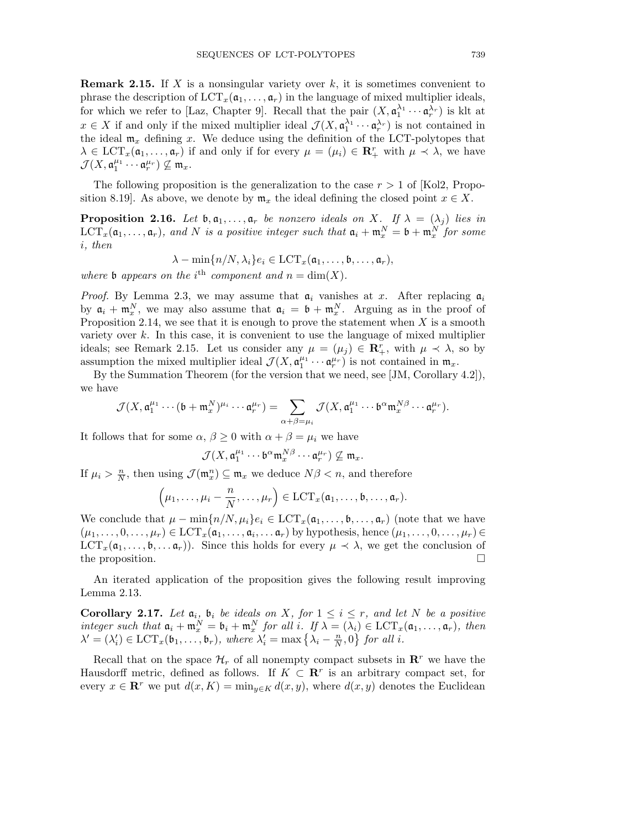Remark 2.15. If *X* is a nonsingular variety over *k*, it is sometimes convenient to phrase the description of  $LCT_x(\mathfrak{a}_1,\ldots,\mathfrak{a}_r)$  in the language of mixed multiplier ideals, for which we refer to [Laz, Chapter 9]. Recall that the pair  $(X, \mathfrak{a}_1^{\lambda_1} \cdots \mathfrak{a}_r^{\lambda_r})$  is klt at  $x \in X$  if and only if the mixed multiplier ideal  $\mathcal{J}(X, \mathfrak{a}_1^{\lambda_1} \cdots \mathfrak{a}_r^{\lambda_r})$  is not contained in the ideal  $m_x$  defining x. We deduce using the definition of the LCT-polytopes that  $\lambda \in \text{LCT}_x(\mathfrak{a}_1,\ldots,\mathfrak{a}_r)$  if and only if for every  $\mu = (\mu_i) \in \mathbb{R}^r_+$  with  $\mu \prec \lambda$ , we have  $\mathcal{J}(X, \mathfrak{a}_1^{\mu_1} \cdots \mathfrak{a}_r^{\mu_r}) \nsubseteq \mathfrak{m}_x.$ 

The following proposition is the generalization to the case  $r > 1$  of [Kol2, Proposition 8.19]. As above, we denote by  $\mathfrak{m}_x$  the ideal defining the closed point  $x \in X$ .

**Proposition 2.16.** Let  $\mathfrak{b}, \mathfrak{a}_1, \ldots, \mathfrak{a}_r$  be nonzero ideals on X. If  $\lambda = (\lambda_i)$  lies in  $\text{LCT}_x(\mathfrak{a}_1,\ldots,\mathfrak{a}_r)$ *, and N is a positive integer such that*  $\mathfrak{a}_i + \mathfrak{m}^N_x = \mathfrak{b} + \mathfrak{m}^N_x$  for some *i, then*

$$
\lambda - \min\{n/N, \lambda_i\} e_i \in \text{LCT}_x(\mathfrak{a}_1, \dots, \mathfrak{b}, \dots, \mathfrak{a}_r),
$$

*where* **b** *appears on the i*<sup>th</sup> *component and*  $n = \dim(X)$ *.* 

*Proof.* By Lemma 2.3, we may assume that  $a_i$  vanishes at *x*. After replacing  $a_i$ by  $a_i + \mathfrak{m}_x^N$ , we may also assume that  $a_i = \mathfrak{b} + \mathfrak{m}_x^N$ . Arguing as in the proof of Proposition 2.14, we see that it is enough to prove the statement when *X* is a smooth variety over *k*. In this case, it is convenient to use the language of mixed multiplier ideals; see Remark 2.15. Let us consider any  $\mu = (\mu_j) \in \mathbb{R}^r_+$ , with  $\mu \prec \lambda$ , so by assumption the mixed multiplier ideal  $\mathcal{J}(X, \mathfrak{a}_1^{\mu_1} \cdots \mathfrak{a}_r^{\mu_r})$  is not contained in  $\mathfrak{m}_x$ .

By the Summation Theorem (for the version that we need, see [JM, Corollary 4.2]), we have

$$
\mathcal{J}(X,\mathfrak{a}_1^{\mu_1}\cdots (\mathfrak{b}+\mathfrak{m}_x^N)^{\mu_i}\cdots \mathfrak{a}_r^{\mu_r})=\sum_{\alpha+\beta=\mu_i}\mathcal{J}(X,\mathfrak{a}_1^{\mu_1}\cdots \mathfrak{b}^{\alpha}\mathfrak{m}_x^{N\beta}\cdots \mathfrak{a}_r^{\mu_r}).
$$

It follows that for some  $\alpha$ ,  $\beta \geq 0$  with  $\alpha + \beta = \mu_i$  we have

$$
\mathcal{J}(X,\mathfrak{a}_1^{\mu_1}\cdots\mathfrak{b}^{\alpha}\mathfrak{m}_x^{N\beta}\cdots\mathfrak{a}_r^{\mu_r})\nsubseteq \mathfrak{m}_x.
$$

If  $\mu_i > \frac{n}{N}$ , then using  $\mathcal{J}(\mathfrak{m}_x^n) \subseteq \mathfrak{m}_x$  we deduce  $N\beta < n$ , and therefore

$$
\left(\mu_1,\ldots,\mu_i-\frac{n}{N},\ldots,\mu_r\right)\in \mathrm{LCT}_x(\mathfrak{a}_1,\ldots,\mathfrak{b},\ldots,\mathfrak{a}_r).
$$

We conclude that  $\mu - \min\{n/N, \mu_i\}e_i \in \text{LCT}_x(\mathfrak{a}_1, \ldots, \mathfrak{b}, \ldots, \mathfrak{a}_r)$  (note that we have  $(\mu_1, \ldots, 0, \ldots, \mu_r) \in \text{LCT}_x(\mathfrak{a}_1, \ldots, \mathfrak{a}_i, \ldots, \mathfrak{a}_r)$  by hypothesis, hence  $(\mu_1, \ldots, 0, \ldots, \mu_r) \in$ LCT<sub>*x*</sub>( $\mathfrak{a}_1, \ldots, \mathfrak{b}, \ldots, \mathfrak{a}_r$ )). Since this holds for every  $\mu \prec \lambda$ , we get the conclusion of the proposition. the proposition.

An iterated application of the proposition gives the following result improving Lemma 2.13.

**Corollary 2.17.** Let  $\mathfrak{a}_i$ ,  $\mathfrak{b}_i$  be ideals on X, for  $1 \leq i \leq r$ , and let N be a positive *integer such that*  $a_i + m_x^N = b_i + m_x^N$  *for all i. If*  $\lambda = (\lambda_i) \in \text{LCT}_x(a_1, \ldots, a_r)$ *, then*  $\lambda' = (\lambda'_i) \in \text{LCT}_x(\mathfrak{b}_1, \ldots, \mathfrak{b}_r)$ *, where*  $\lambda'_i = \max\left\{\lambda_i - \frac{n}{N}, 0\right\}$  for all *i*.

Recall that on the space  $\mathcal{H}_r$  of all nonempty compact subsets in  $\mathbb{R}^r$  we have the Hausdorff metric, defined as follows. If  $K \subset \mathbb{R}^r$  is an arbitrary compact set, for every  $x \in \mathbb{R}^r$  we put  $d(x, K) = \min_{y \in K} d(x, y)$ , where  $d(x, y)$  denotes the Euclidean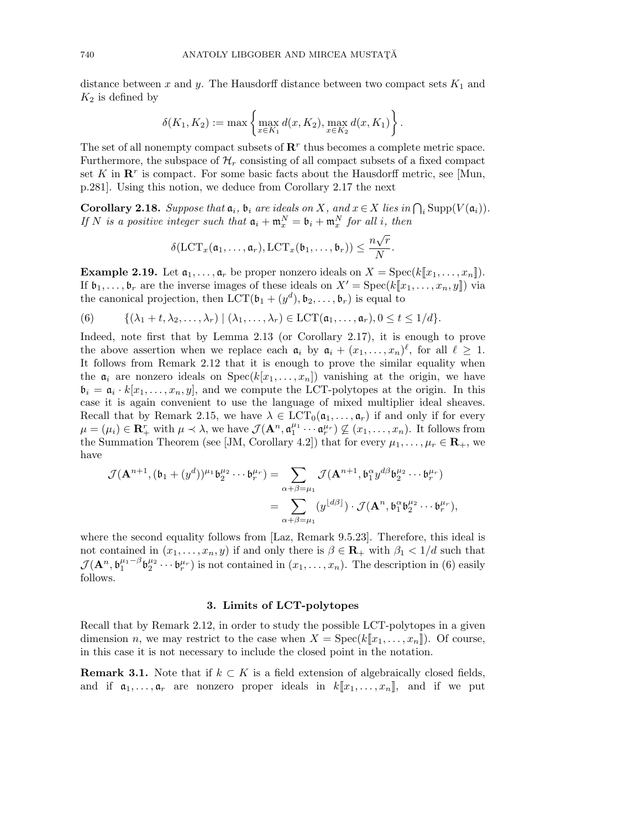distance between  $x$  and  $y$ . The Hausdorff distance between two compact sets  $K_1$  and  $K_2$  is defined by

$$
\delta(K_1, K_2) := \max \left\{ \max_{x \in K_1} d(x, K_2), \max_{x \in K_2} d(x, K_1) \right\}.
$$

The set of all nonempty compact subsets of  $\mathbb{R}^r$  thus becomes a complete metric space. Furthermore, the subspace of  $\mathcal{H}_r$  consisting of all compact subsets of a fixed compact set  $K$  in  $\mathbb{R}^r$  is compact. For some basic facts about the Hausdorff metric, see [Mun, p.281]. Using this notion, we deduce from Corollary 2.17 the next

Corollary 2.18. *Suppose that*  $\mathfrak{a}_i$ ,  $\mathfrak{b}_i$  *are ideals on*  $X$ *, and*  $x \in X$  *lies in*  $\bigcap_i$  Supp $(V(\mathfrak{a}_i))$ *. If N is a positive integer such that*  $a_i + m_x^N = b_i + m_x^N$  *for all i, then* 

$$
\delta(\mathrm{LCT}_x(\mathfrak{a}_1,\ldots,\mathfrak{a}_r),\mathrm{LCT}_x(\mathfrak{b}_1,\ldots,\mathfrak{b}_r))\leq \frac{n\sqrt{r}}{N}.
$$

**Example 2.19.** Let  $\mathfrak{a}_1, \ldots, \mathfrak{a}_r$  be proper nonzero ideals on  $X = \text{Spec}(k[\![x_1, \ldots, x_n]\!])$ . If  $\mathfrak{b}_1,\ldots,\mathfrak{b}_r$  are the inverse images of these ideals on  $X' = \mathrm{Spec}(k[\![x_1,\ldots,x_n,y]\!])$  via the canonical projection, then  $LCT(\mathfrak{b}_1 + (y^d), \mathfrak{b}_2, \ldots, \mathfrak{b}_r)$  is equal to

(6) 
$$
\{(\lambda_1+t,\lambda_2,\ldots,\lambda_r)\mid (\lambda_1,\ldots,\lambda_r)\in \mathrm{LCT}(\mathfrak{a}_1,\ldots,\mathfrak{a}_r), 0\leq t\leq 1/d\}.
$$

Indeed, note first that by Lemma 2.13 (or Corollary 2.17), it is enough to prove the above assertion when we replace each  $a_i$  by  $a_i + (x_1, \ldots, x_n)^\ell$ , for all  $\ell \geq 1$ . It follows from Remark 2.12 that it is enough to prove the similar equality when the  $a_i$  are nonzero ideals on  $Spec(k[x_1,\ldots,x_n])$  vanishing at the origin, we have  $\mathfrak{b}_i = \mathfrak{a}_i \cdot k[x_1,\ldots,x_n,y]$ , and we compute the LCT-polytopes at the origin. In this case it is again convenient to use the language of mixed multiplier ideal sheaves. Recall that by Remark 2.15, we have  $\lambda \in \text{LCT}_0(\mathfrak{a}_1,\ldots,\mathfrak{a}_r)$  if and only if for every  $\mu = (\mu_i) \in \mathbb{R}_+^r$  with  $\mu \prec \lambda$ , we have  $\mathcal{J}(\mathbf{A}^n, \mathfrak{a}_1^{\mu_1} \cdots \mathfrak{a}_r^{\mu_r}) \nsubseteq (x_1, \ldots, x_n)$ . It follows from the Summation Theorem (see [JM, Corollary 4.2]) that for every  $\mu_1, \ldots, \mu_r \in \mathbb{R}_+$ , we have

$$
\mathcal{J}(\mathbf{A}^{n+1}, (\mathfrak{b}_1 + (y^d))^{\mu_1} \mathfrak{b}_2^{\mu_2} \cdots \mathfrak{b}_r^{\mu_r}) = \sum_{\alpha + \beta = \mu_1} \mathcal{J}(\mathbf{A}^{n+1}, \mathfrak{b}_1^{\alpha} y^{d\beta} \mathfrak{b}_2^{\mu_2} \cdots \mathfrak{b}_r^{\mu_r})
$$
  
= 
$$
\sum_{\alpha + \beta = \mu_1} (y^{\lfloor d\beta \rfloor}) \cdot \mathcal{J}(\mathbf{A}^n, \mathfrak{b}_1^{\alpha} \mathfrak{b}_2^{\mu_2} \cdots \mathfrak{b}_r^{\mu_r}),
$$

where the second equality follows from [Laz, Remark 9.5.23]. Therefore, this ideal is not contained in  $(x_1, \ldots, x_n, y)$  if and only there is  $\beta \in \mathbf{R}_+$  with  $\beta_1 < 1/d$  such that  $\mathcal{J}(\mathbf{A}^n, \mathfrak{b}_1^{\mu_1-\beta} \mathfrak{b}_2^{\mu_2} \cdots \mathfrak{b}_r^{\mu_r})$  is not contained in  $(x_1, \ldots, x_n)$ . The description in (6) easily follows.

# 3. Limits of LCT-polytopes

Recall that by Remark 2.12, in order to study the possible LCT-polytopes in a given dimension *n*, we may restrict to the case when  $X = \text{Spec}(k[\![x_1, \ldots, x_n]\!])$ . Of course, in this case it is not necessary to include the closed point in the notation.

**Remark 3.1.** Note that if  $k \subset K$  is a field extension of algebraically closed fields, and if  $a_1, \ldots, a_r$  are nonzero proper ideals in  $k[[x_1, \ldots, x_n]]$ , and if we put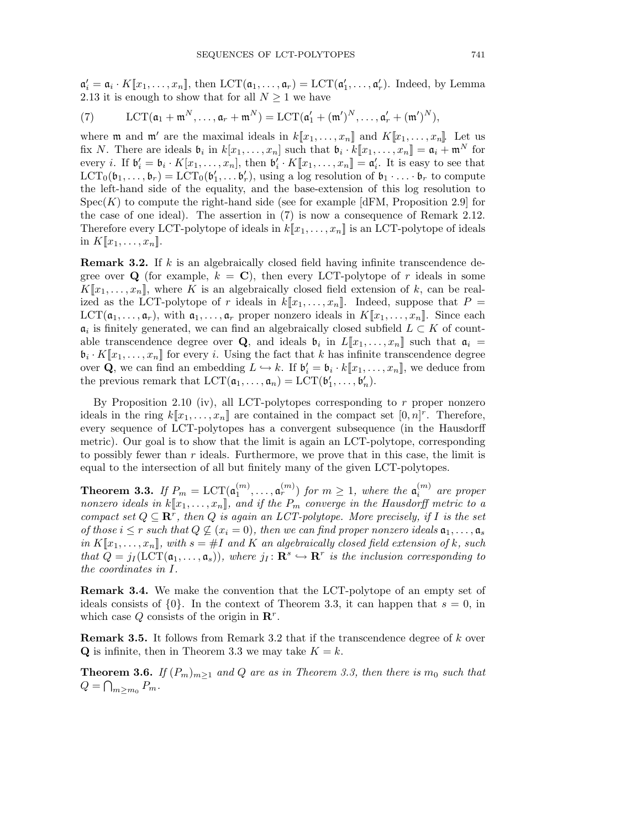$a'_i = a_i \cdot K[\![x_1, \ldots, x_n]\!]$ , then  $\text{LCT}(a_1, \ldots, a_r) = \text{LCT}(a'_1, \ldots, a'_r)$ . Indeed, by Lemma 2.13 it is enough to show that for all  $N \geq 1$  we have

(7) 
$$
LCT(\mathfrak{a}_1 + \mathfrak{m}^N, \ldots, \mathfrak{a}_r + \mathfrak{m}^N) = LCT(\mathfrak{a}'_1 + (\mathfrak{m}')^N, \ldots, \mathfrak{a}'_r + (\mathfrak{m}')^N),
$$

where **m** and **m'** are the maximal ideals in  $k[\![x_1, \ldots, x_n]\!]$  and  $K[\![x_1, \ldots, x_n]\!]$ . Let us fix *N*. There are ideals  $\mathfrak{b}_i$  in  $k[x_1,\ldots,x_n]$  such that  $\mathfrak{b}_i \cdot k[[x_1,\ldots,x_n]] = \mathfrak{a}_i + \mathfrak{m}^N$  for every *i*. If  $\mathfrak{b}'_i = \mathfrak{b}_i \cdot K[x_1, \ldots, x_n]$ , then  $\mathfrak{b}'_i \cdot K[\![x_1, \ldots, x_n]\!] = \mathfrak{a}'_i$ . It is easy to see that  $LCT_0(\mathfrak{b}_1,\ldots,\mathfrak{b}_r) = LCT_0(\mathfrak{b}'_1,\ldots,\mathfrak{b}'_r)$ , using a log resolution of  $\mathfrak{b}_1 \cdot \ldots \cdot \mathfrak{b}_r$  to compute the left-hand side of the equality, and the base-extension of this log resolution to  $Spec(K)$  to compute the right-hand side (see for example [dFM, Proposition 2.9] for the case of one ideal). The assertion in (7) is now a consequence of Remark 2.12. Therefore every LCT-polytope of ideals in  $k[\![x_1,\ldots,x_n]\!]$  is an LCT-polytope of ideals in  $K[x_1, \ldots, x_n].$ 

Remark 3.2. If *k* is an algebraically closed field having infinite transcendence degree over  $\bf{Q}$  (for example,  $k = \bf{C}$ ), then every LCT-polytope of r ideals in some  $K[\![x_1,\ldots,x_n]\!]$ , where *K* is an algebraically closed field extension of *k*, can be realized as the LCT-polytope of *r* ideals in  $k[[x_1, \ldots, x_n]]$ . Indeed, suppose that  $P =$  $\text{LCT}(\mathfrak{a}_1,\ldots,\mathfrak{a}_r)$ , with  $\mathfrak{a}_1,\ldots,\mathfrak{a}_r$  proper nonzero ideals in  $K[\![x_1,\ldots,x_n]\!]$ . Since each  $a_i$  is finitely generated, we can find an algebraically closed subfield  $L \subset K$  of countable transcendence degree over **Q**, and ideals  $\mathfrak{b}_i$  in  $L[\![x_1, \ldots, x_n]\!]$  such that  $\mathfrak{a}_i =$  $\mathfrak{b}_i \cdot K[\![x_1,\ldots,x_n]\!]$  for every *i*. Using the fact that *k* has infinite transcendence degree over **Q**, we can find an embedding  $L \hookrightarrow k$ . If  $\mathfrak{b}'_i = \mathfrak{b}_i \cdot k[[x_1, \ldots, x_n]]$ , we deduce from the previous remark that  $LCT(\mathfrak{a}_1, ..., \mathfrak{a}_n) = LCT(\mathfrak{b}'_1, ..., \mathfrak{b}'_n)$ .

By Proposition 2.10 (iv), all LCT-polytopes corresponding to  $r$  proper nonzero ideals in the ring  $k[\![x_1,\ldots,x_n]\!]$  are contained in the compact set  $[0,n]^r$ . Therefore, every sequence of LCT-polytopes has a convergent subsequence (in the Hausdorff metric). Our goal is to show that the limit is again an LCT-polytope, corresponding to possibly fewer than *r* ideals. Furthermore, we prove that in this case, the limit is equal to the intersection of all but finitely many of the given LCT-polytopes.

**Theorem 3.3.** If  $P_m = \text{LCT}(\mathfrak{a}_1^{(m)}, \ldots, \mathfrak{a}_r^{(m)})$  for  $m \geq 1$ , where the  $\mathfrak{a}_i^{(m)}$  are proper *nonzero ideals in*  $k[\![x_1, \ldots, x_n]\!]$ *, and if the*  $P_m$  *converge in the Hausdorff metric to a compact set*  $Q \subseteq \mathbb{R}^r$ , then  $Q$  *is again an LCT-polytope. More precisely, if*  $I$  *is the set of those*  $i \leq r$  *such that*  $Q \nsubseteq (x_i = 0)$ *, then we can find proper nonzero ideals*  $a_1, \ldots, a_s$ *in*  $K[\![x_1, \ldots, x_n]\!]$ *, with*  $s = \#I$  *and*  $K$  *an algebraically closed field extension of*  $k$ *, such that*  $Q = j_I(\text{LCT}(\mathfrak{a}_1, \ldots, \mathfrak{a}_s))$ *, where*  $j_I : \mathbb{R}^s \hookrightarrow \mathbb{R}^r$  *is the inclusion corresponding to the coordinates in I.*

Remark 3.4. We make the convention that the LCT-polytope of an empty set of ideals consists of  $\{0\}$ . In the context of Theorem 3.3, it can happen that  $s = 0$ , in which case *Q* consists of the origin in R*<sup>r</sup>*.

Remark 3.5. It follows from Remark 3.2 that if the transcendence degree of *k* over **Q** is infinite, then in Theorem 3.3 we may take  $K = k$ .

**Theorem 3.6.** If  $(P_m)_{m>1}$  and Q are as in Theorem 3.3, then there is  $m_0$  such that  $Q = \bigcap_{m \geq m_0} P_m$ .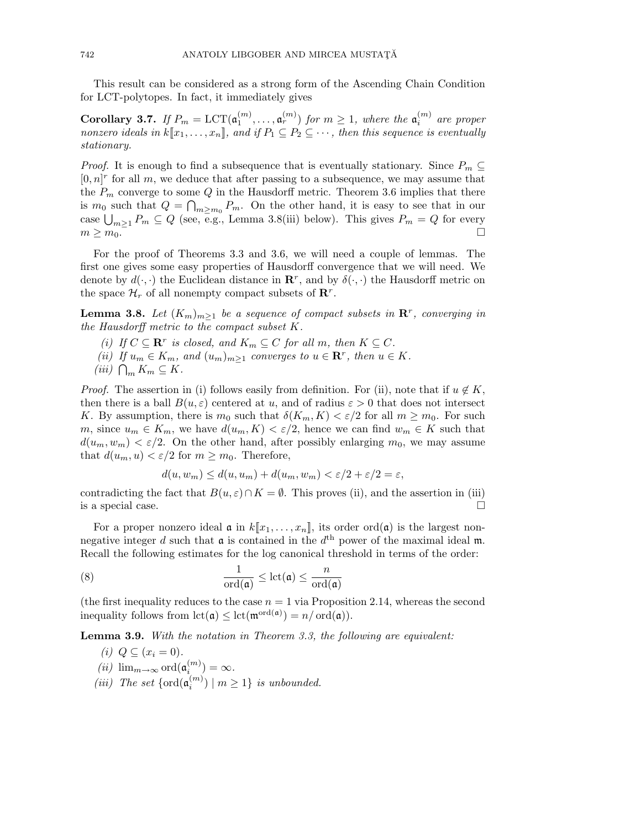This result can be considered as a strong form of the Ascending Chain Condition for LCT-polytopes. In fact, it immediately gives

Corollary 3.7. *If*  $P_m = \text{LCT}(\mathfrak{a}_1^{(m)}, \ldots, \mathfrak{a}_r^{(m)})$  *for*  $m \geq 1$ *, where the*  $\mathfrak{a}_i^{(m)}$  *are proper nonzero ideals in*  $k[\![x_1, \ldots, x_n]\!]$ *, and if*  $P_1 \subseteq P_2 \subseteq \cdots$ *, then this sequence is eventually stationary.*

*Proof.* It is enough to find a subsequence that is eventually stationary. Since  $P_m \subseteq$  $[0, n]^r$  for all  $m$ , we deduce that after passing to a subsequence, we may assume that the *P<sup>m</sup>* converge to some *Q* in the Hausdorff metric. Theorem 3.6 implies that there is  $m_0$  such that  $Q = \bigcap_{m \geq m_0} P_m$ . On the other hand, it is easy to see that in our case  $\bigcup_{m\geq 1} P_m \subseteq Q$  (see, e.g., Lemma 3.8(iii) below). This gives  $P_m = Q$  for every  $m \geq m_0$ .

For the proof of Theorems 3.3 and 3.6, we will need a couple of lemmas. The first one gives some easy properties of Hausdorff convergence that we will need. We denote by  $d(\cdot, \cdot)$  the Euclidean distance in  $\mathbb{R}^r$ , and by  $\delta(\cdot, \cdot)$  the Hausdorff metric on the space  $\mathcal{H}_r$  of all nonempty compact subsets of  $\mathbb{R}^r$ .

**Lemma 3.8.** Let  $(K_m)_{m\geq 1}$  be a sequence of compact subsets in  $\mathbb{R}^r$ , converging in *the Hausdor*ff *metric to the compact subset K.*

- *(i) If*  $C \subseteq \mathbb{R}^r$  *is closed, and*  $K_m \subseteq C$  *for all*  $m$ *, then*  $K \subseteq C$ *.*
- *(ii) If*  $u_m \in K_m$ *, and*  $(u_m)_{m>1}$  *converges to*  $u \in \mathbb{R}^r$ *, then*  $u \in K$ *.*
- $(iii)$   $\bigcap_m K_m \subseteq K$ .

*Proof.* The assertion in (i) follows easily from definition. For (ii), note that if  $u \notin K$ , then there is a ball  $B(u, \varepsilon)$  centered at *u*, and of radius  $\varepsilon > 0$  that does not intersect *K*. By assumption, there is  $m_0$  such that  $\delta(K_m, K) < \varepsilon/2$  for all  $m \geq m_0$ . For such *m*, since  $u_m \in K_m$ , we have  $d(u_m, K) < \varepsilon/2$ , hence we can find  $w_m \in K$  such that  $d(u_m, w_m) < \varepsilon/2$ . On the other hand, after possibly enlarging  $m_0$ , we may assume that  $d(u_m, u) < \varepsilon/2$  for  $m \geq m_0$ . Therefore,

$$
d(u, w_m) \le d(u, u_m) + d(u_m, w_m) < \varepsilon/2 + \varepsilon/2 = \varepsilon
$$

contradicting the fact that  $B(u, \varepsilon) \cap K = \emptyset$ . This proves (ii), and the assertion in (iii) is a special case. is a special case.

For a proper nonzero ideal  $\mathfrak{a}$  in  $k[\![x_1,\ldots,x_n]\!]$ , its order ord $(\mathfrak{a})$  is the largest nonnegative integer *d* such that  $\mathfrak{a}$  is contained in the  $d^{\text{th}}$  power of the maximal ideal m. Recall the following estimates for the log canonical threshold in terms of the order:

(8) 
$$
\frac{1}{\text{ord}(\mathfrak{a})} \leq \text{lct}(\mathfrak{a}) \leq \frac{n}{\text{ord}(\mathfrak{a})}
$$

(the first inequality reduces to the case  $n = 1$  via Proposition 2.14, whereas the second inequality follows from  $\text{lct}(\mathfrak{a}) \leq \text{lct}(\mathfrak{m}^{\text{ord}(\mathfrak{a})}) = n/\text{ord}(\mathfrak{a}).$ 

Lemma 3.9. *With the notation in Theorem 3.3, the following are equivalent:*

*(i)*  $Q \subseteq (x_i = 0)$ .

- $(iii)$   $\lim_{m\to\infty} \text{ord}(\mathfrak{a}_{i}^{(m)}) = \infty.$
- (*iii*) The set  $\{\text{ord}(\mathfrak{a}_{i}^{(m)}) \mid m \geq 1\}$  *is unbounded.*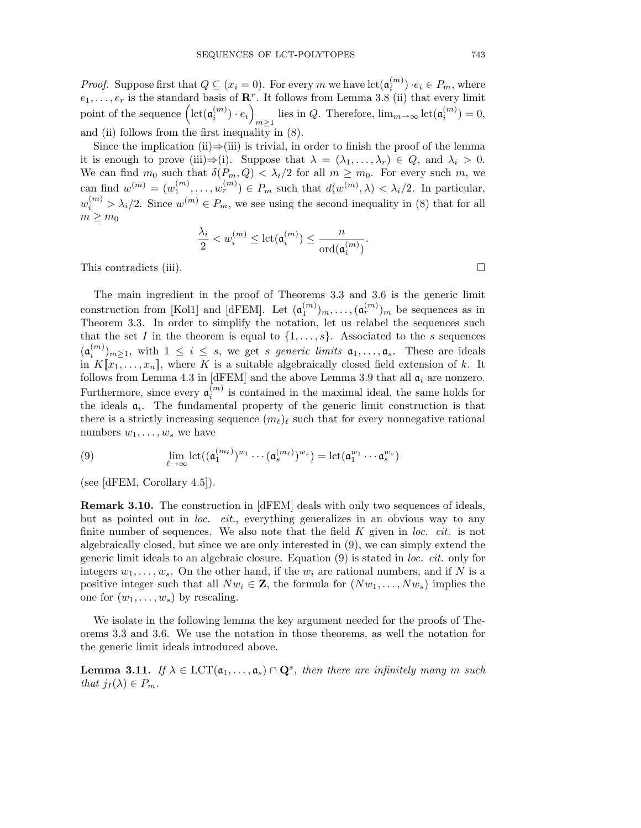*Proof.* Suppose first that  $Q \subseteq (x_i = 0)$ . For every *m* we have  $\text{lct}(\mathfrak{a}_i^{(m)}) \cdot e_i \in P_m$ , where  $e_1, \ldots, e_r$  is the standard basis of  $\mathbb{R}^r$ . It follows from Lemma 3.8 (ii) that every limit point of the sequence  $\left(\text{lct}(\mathfrak{a}_i^{(m)}) \cdot e_i\right)$ lies in *Q*. Therefore,  $\lim_{m \to \infty} \text{lct}(\mathfrak{a}_i^{(m)}) = 0$ , and (ii) follows from the first inequality in  $(8)$ .

Since the implication (ii) $\Rightarrow$ (iii) is trivial, in order to finish the proof of the lemma it is enough to prove (iii) $\Rightarrow$ (i). Suppose that  $\lambda = (\lambda_1, \ldots, \lambda_r) \in Q$ , and  $\lambda_i > 0$ . We can find  $m_0$  such that  $\delta(P_m, Q) < \lambda_i/2$  for all  $m \ge m_0$ . For every such  $m$ , we can find  $w^{(m)} = (w_1^{(m)}, \ldots, w_r^{(m)}) \in P_m$  such that  $d(w^{(m)}, \lambda) < \lambda_i/2$ . In particular,  $w_i^{(m)} > \lambda_i/2$ . Since  $w^{(m)} \in P_m$ , we see using the second inequality in (8) that for all  $m \geq m_0$ 

$$
\frac{\lambda_i}{2} < w_i^{(m)} \leq \mathrm{lct}(\mathfrak{a}_i^{(m)}) \leq \frac{n}{\mathrm{ord}(\mathfrak{a}_i^{(m)})}.
$$

This contradicts (iii).  $\Box$ 

The main ingredient in the proof of Theorems 3.3 and 3.6 is the generic limit construction from [Kol1] and [dFEM]. Let  $(\mathfrak{a}_1^{(m)})_m, \ldots, (\mathfrak{a}_r^{(m)})_m$  be sequences as in Theorem 3.3. In order to simplify the notation, let us relabel the sequences such that the set *I* in the theorem is equal to  $\{1, \ldots, s\}$ . Associated to the *s* sequences  $(\mathfrak{a}_{i}^{(m)})_{m\geq 1}$ , with  $1 \leq i \leq s$ , we get *s generic limits*  $\mathfrak{a}_1, \ldots, \mathfrak{a}_s$ . These are ideals  $\lim_{k \to \infty} K[\![x_1, \ldots, x_n]\!]$ , where *K* is a suitable algebraically closed field extension of *k*. It follows from Lemma 4.3 in [dFEM] and the above Lemma 3.9 that all  $a_i$  are nonzero. Furthermore, since every  $a_i^{(m)}$  is contained in the maximal ideal, the same holds for the ideals  $a_i$ . The fundamental property of the generic limit construction is that there is a strictly increasing sequence  $(m_{\ell})_{\ell}$  such that for every nonnegative rational numbers  $w_1, \ldots, w_s$  we have

(9) 
$$
\lim_{\ell \to \infty} \mathrm{lct}((\mathfrak{a}_1^{(m_\ell)})^{w_1} \cdots (\mathfrak{a}_s^{(m_\ell)})^{w_s}) = \mathrm{lct}(\mathfrak{a}_1^{w_1} \cdots \mathfrak{a}_s^{w_s})
$$

(see [dFEM, Corollary 4.5]).

Remark 3.10. The construction in [dFEM] deals with only two sequences of ideals, but as pointed out in *loc. cit.*, everything generalizes in an obvious way to any finite number of sequences. We also note that the field *K* given in *loc. cit.* is not algebraically closed, but since we are only interested in (9), we can simply extend the generic limit ideals to an algebraic closure. Equation (9) is stated in *loc. cit.* only for integers  $w_1, \ldots, w_s$ . On the other hand, if the  $w_i$  are rational numbers, and if *N* is a positive integer such that all  $Nw_i \in \mathbb{Z}$ , the formula for  $(Nw_1, \ldots, Nw_s)$  implies the one for  $(w_1, \ldots, w_s)$  by rescaling.

We isolate in the following lemma the key argument needed for the proofs of Theorems 3.3 and 3.6. We use the notation in those theorems, as well the notation for the generic limit ideals introduced above.

**Lemma 3.11.** *If*  $\lambda \in \text{LCT}(\mathfrak{a}_1, \ldots, \mathfrak{a}_s) \cap \mathbf{Q}^s$ , then there are infinitely many m such *that*  $j_I(\lambda) \in P_m$ *.*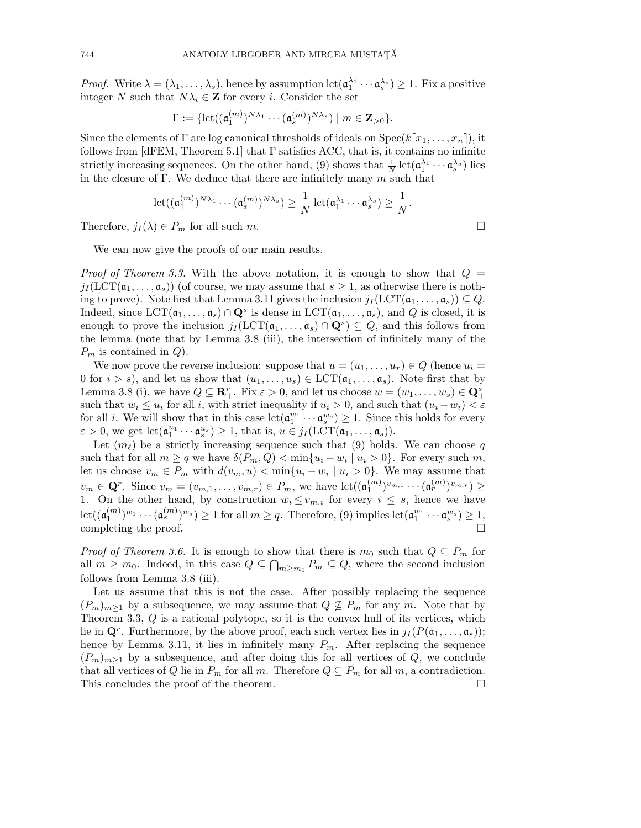*Proof.* Write  $\lambda = (\lambda_1, \ldots, \lambda_s)$ , hence by assumption  $lct(\mathfrak{a}_1^{\lambda_1} \cdots \mathfrak{a}_s^{\lambda_s}) \geq 1$ . Fix a positive integer *N* such that  $N\lambda_i \in \mathbf{Z}$  for every *i*. Consider the set

$$
\Gamma := \{ \mathrm{lct}((\mathfrak{a}_{1}^{(m)})^{N\lambda_{1}} \cdots (\mathfrak{a}_{s}^{(m)})^{N\lambda_{s}}) \mid m \in \mathbf{Z}_{>0} \}.
$$

Since the elements of  $\Gamma$  are log canonical thresholds of ideals on  $Spec(k[\![x_1,\ldots,x_n]\!])$ , it follows from  $\Delta EEM$ , Theorem 5.1] that  $\Gamma$  satisfies ACC, that is, it contains no infinite strictly increasing sequences. On the other hand, (9) shows that  $\frac{1}{N}$  lct( $\mathfrak{a}_1^{\lambda_1} \cdots \mathfrak{a}_s^{\lambda_s}$ ) lies in the closure of Γ. We deduce that there are infinitely many *m* such that

$$
\mathrm{lct}((\mathfrak{a}_1^{(m)})^{N\lambda_1}\cdots(\mathfrak{a}_s^{(m)})^{N\lambda_s})\geq \frac{1}{N}\mathrm{lct}(\mathfrak{a}_1^{\lambda_1}\cdots\mathfrak{a}_s^{\lambda_s})\geq \frac{1}{N}.
$$

Therefore,  $j_I(\lambda) \in P_m$  for all such *m*.

We can now give the proofs of our main results.

*Proof of Theorem 3.3.* With the above notation, it is enough to show that  $Q =$  $j_I(\text{LCT}(\mathfrak{a}_1,\ldots,\mathfrak{a}_s))$  (of course, we may assume that  $s\geq 1$ , as otherwise there is nothing to prove). Note first that Lemma 3.11 gives the inclusion  $j_I(\text{LCT}(\mathfrak{a}_1,\ldots,\mathfrak{a}_s))\subseteq Q$ . Indeed, since  $\text{LCT}(\mathfrak{a}_1,\ldots,\mathfrak{a}_s) \cap \mathbf{Q}^s$  is dense in  $\text{LCT}(\mathfrak{a}_1,\ldots,\mathfrak{a}_s)$ , and *Q* is closed, it is enough to prove the inclusion  $j_I(\text{LCT}(\mathfrak{a}_1,\ldots,\mathfrak{a}_s)\cap \mathbf{Q}^s) \subseteq Q$ , and this follows from the lemma (note that by Lemma 3.8 (iii), the intersection of infinitely many of the *P<sup>m</sup>* is contained in *Q*).

We now prove the reverse inclusion: suppose that  $u = (u_1, \ldots, u_r) \in Q$  (hence  $u_i =$ 0 for  $i > s$ , and let us show that  $(u_1, \ldots, u_s) \in \text{LCT}(\mathfrak{a}_1, \ldots, \mathfrak{a}_s)$ . Note first that by Lemma 3.8 (i), we have  $Q \subseteq \mathbb{R}^r_+$ . Fix  $\varepsilon > 0$ , and let us choose  $w = (w_1, \ldots, w_s) \in \mathbb{Q}^s_+$ such that  $w_i \leq u_i$  for all *i*, with strict inequality if  $u_i > 0$ , and such that  $(u_i - w_i) < \varepsilon$ for all *i*. We will show that in this case  $\text{lct}(\mathfrak{a}_1^{w_1} \cdots \mathfrak{a}_s^{w_s}) \geq 1$ . Since this holds for every  $\varepsilon > 0$ , we get  $\text{lct}(\mathfrak{a}_1^{u_1} \cdots \mathfrak{a}_s^{u_s}) \ge 1$ , that is,  $u \in j_I(\text{LCT}(\mathfrak{a}_1, \ldots, \mathfrak{a}_s)).$ 

Let  $(m_\ell)$  be a strictly increasing sequence such that (9) holds. We can choose q such that for all  $m \ge q$  we have  $\delta(P_m, Q) < \min\{u_i - w_i \mid u_i > 0\}$ . For every such  $m$ , let us choose  $v_m \in P_m$  with  $d(v_m, u) < \min\{u_i - w_i \mid u_i > 0\}$ . We may assume that  $v_m \in \mathbf{Q}^r$ . Since  $v_m = (v_{m,1}, \ldots, v_{m,r}) \in P_m$ , we have  $lct((\mathfrak{a}_1^{(m)})^{v_{m,1}} \cdots (\mathfrak{a}_r^{(m)})^{v_{m,r}}) \geq$ 1. On the other hand, by construction  $w_i \leq v_{m,i}$  for every  $i \leq s$ , hence we have  $\mathrm{lct}((\mathfrak{a}_1^{(m)})^{w_1}\cdots(\mathfrak{a}_s^{(m)})^{w_s}) \geq 1$  for all  $m \geq q$ . Therefore, (9) implies  $\mathrm{lct}(\mathfrak{a}_1^{w_1}\cdots \mathfrak{a}_s^{w_s}) \geq 1$ , completing the proof.  $\Box$ 

*Proof of Theorem 3.6.* It is enough to show that there is  $m_0$  such that  $Q \subseteq P_m$  for all  $m \geq m_0$ . Indeed, in this case  $Q \subseteq \bigcap_{m \geq m_0} P_m \subseteq Q$ , where the second inclusion follows from Lemma 3.8 (iii).

Let us assume that this is not the case. After possibly replacing the sequence  $(P_m)_{m>1}$  by a subsequence, we may assume that  $Q \nsubseteq P_m$  for any *m*. Note that by Theorem 3.3, *Q* is a rational polytope, so it is the convex hull of its vertices, which lie in  $\mathbf{Q}^r$ . Furthermore, by the above proof, each such vertex lies in  $j_I(P(\mathfrak{a}_1,\ldots,\mathfrak{a}_s))$ ; hence by Lemma 3.11, it lies in infinitely many  $P_m$ . After replacing the sequence  $(P_m)_{m>1}$  by a subsequence, and after doing this for all vertices of  $Q$ , we conclude that all vertices of *Q* lie in  $P_m$  for all *m*. Therefore  $Q \subseteq P_m$  for all *m*, a contradiction.<br>This concludes the proof of the theorem. This concludes the proof of the theorem. !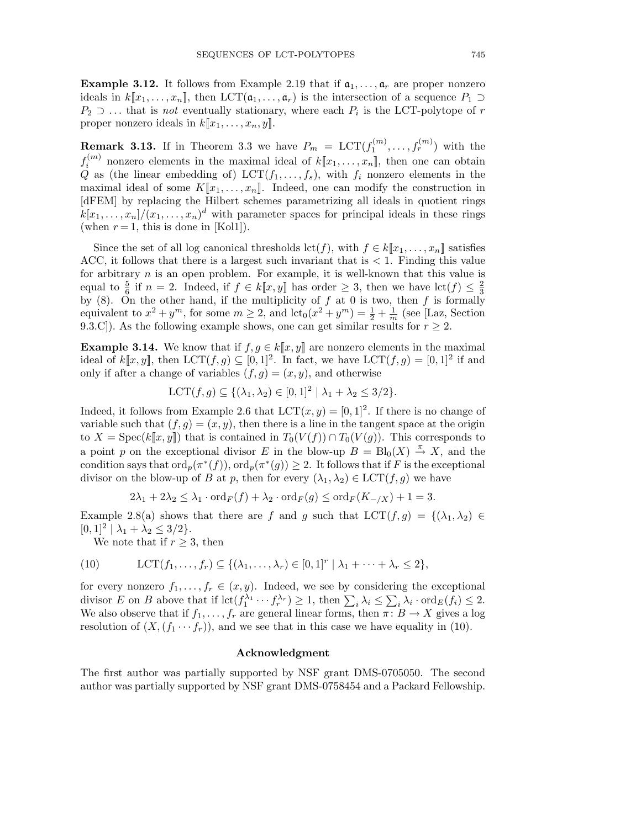**Example 3.12.** It follows from Example 2.19 that if  $a_1, \ldots, a_r$  are proper nonzero ideals in  $k[[x_1,\ldots,x_n]]$ , then LCT( $\mathfrak{a}_1,\ldots,\mathfrak{a}_r$ ) is the intersection of a sequence  $P_1 \supset$  $P_2 \supset \ldots$  that is *not* eventually stationary, where each  $P_i$  is the LCT-polytope of *r* proper nonzero ideals in  $k[[x_1,\ldots,x_n,y]].$ 

**Remark 3.13.** If in Theorem 3.3 we have  $P_m = \text{LCT}(f_1^{(m)}, \ldots, f_r^{(m)})$  with the  $f_i^{(m)}$  nonzero elements in the maximal ideal of  $k[[x_1,\ldots,x_n]]$ , then one can obtain *Q* as (the linear embedding of) LCT $(f_1, \ldots, f_s)$ , with  $f_i$  nonzero elements in the maximal ideal of some  $K[x_1,\ldots,x_n]$ . Indeed, one can modify the construction in [dFEM] by replacing the Hilbert schemes parametrizing all ideals in quotient rings  $k[x_1, \ldots, x_n]/(x_1, \ldots, x_n)^d$  with parameter spaces for principal ideals in these rings (when  $r = 1$ , this is done in [Kol1]).

Since the set of all log canonical thresholds  $lct(f)$ , with  $f \in k[[x_1, \ldots, x_n]]$  satisfies ACC, it follows that there is a largest such invariant that is *<* 1. Finding this value for arbitrary *n* is an open problem. For example, it is well-known that this value is equal to  $\frac{5}{6}$  if  $n = 2$ . Indeed, if  $f \in k[[x, y]]$  has order  $\geq 3$ , then we have  $\text{lct}(f) \leq \frac{2}{3}$  by (8). On the other hand, if the multiplicity of  $f$  at 0 is two, then  $f$  is formally equivalent to  $x^2 + y^m$ , for some  $m \ge 2$ , and  $lct_0(x^2 + y^m) = \frac{1}{2} + \frac{1}{m}$  (see [Laz, Section 9.3.C]). As the following example shows, one can get similar results for  $r \geq 2$ .

**Example 3.14.** We know that if  $f, g \in k[[x, y]]$  are nonzero elements in the maximal ideal of  $k[x, y]$ , then  $\text{LCT}(f, g) \subseteq [0, 1]^2$ . In fact, we have  $\text{LCT}(f, g) = [0, 1]^2$  if and only if after a change of variables  $(f, g) = (x, y)$ , and otherwise

$$
LCT(f,g) \subseteq \{(\lambda_1,\lambda_2) \in [0,1]^2 \mid \lambda_1 + \lambda_2 \le 3/2\}.
$$

Indeed, it follows from Example 2.6 that  $LCT(x, y) = [0, 1]^2$ . If there is no change of variable such that  $(f, g) = (x, y)$ , then there is a line in the tangent space at the origin to  $X = \text{Spec}(k[[x, y]])$  that is contained in  $T_0(V(f)) \cap T_0(V(g))$ . This corresponds to a point *p* on the exceptional divisor *E* in the blow-up  $B = Bl_0(X) \stackrel{\pi}{\rightarrow} X$ , and the condition says that  $\text{ord}_p(\pi^*(f))$ ,  $\text{ord}_p(\pi^*(g)) \geq 2$ . It follows that if *F* is the exceptional divisor on the blow-up of *B* at *p*, then for every  $(\lambda_1, \lambda_2) \in \text{LCT}(f, g)$  we have

$$
2\lambda_1 + 2\lambda_2 \leq \lambda_1 \cdot \text{ord}_F(f) + \lambda_2 \cdot \text{ord}_F(g) \leq \text{ord}_F(K_{-/X}) + 1 = 3.
$$

Example 2.8(a) shows that there are *f* and *g* such that  $LCT(f, g) = \{(\lambda_1, \lambda_2) \in$  $[0,1]^2 | \lambda_1 + \lambda_2 \leq 3/2$ .

We note that if  $r \geq 3$ , then

(10) 
$$
\mathsf{LCT}(f_1,\ldots,f_r) \subseteq \{(\lambda_1,\ldots,\lambda_r) \in [0,1]^r \mid \lambda_1+\cdots+\lambda_r \leq 2\},\
$$

for every nonzero  $f_1, \ldots, f_r \in (x, y)$ . Indeed, we see by considering the exceptional divisor *E* on *B* above that if  $\text{let}(f_1^{\lambda_1} \cdots f_r^{\lambda_r}) \geq 1$ , then  $\sum_i \lambda_i \leq \sum_i \lambda_i \cdot \text{ord}_E(f_i) \leq 2$ . We also observe that if  $f_1, \ldots, f_r$  are general linear forms, then  $\pi \colon B \to X$  gives a log resolution of  $(X, (f_1 \cdots f_r))$ , and we see that in this case we have equality in (10).

#### Acknowledgment

The first author was partially supported by NSF grant DMS-0705050. The second author was partially supported by NSF grant DMS-0758454 and a Packard Fellowship.